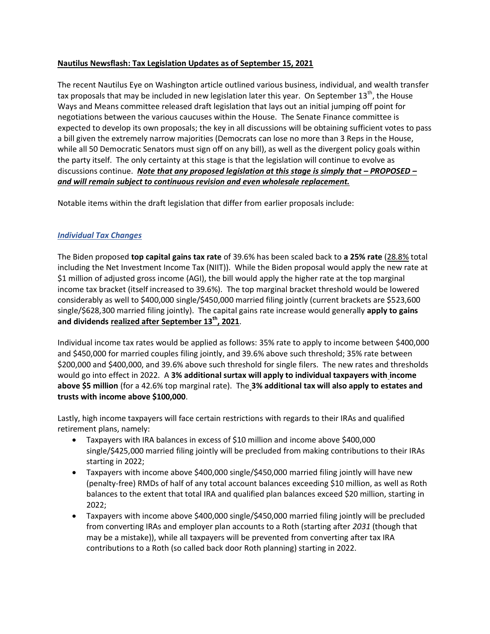## **Nautilus Newsflash: Tax Legislation Updates as of September 15, 2021**

The recent Nautilus Eye on Washington article outlined various business, individual, and wealth transfer tax proposals that may be included in new legislation later this year. On September 13<sup>th</sup>, the House Ways and Means committee released draft legislation that lays out an initial jumping off point for negotiations between the various caucuses within the House. The Senate Finance committee is expected to develop its own proposals; the key in all discussions will be obtaining sufficient votes to pass a bill given the extremely narrow majorities (Democrats can lose no more than 3 Reps in the House, while all 50 Democratic Senators must sign off on any bill), as well as the divergent policy goals within the party itself. The only certainty at this stage is that the legislation will continue to evolve as discussions continue. *Note that any proposed legislation at this stage is simply that - PROPOSED and will remain subject to continuous revision and even wholesale replacement.*

Notable items within the draft legislation that differ from earlier proposals include:

# *Individual Tax Changes*

The Biden proposed **top capital gains tax rate** of 39.6% has been scaled back to **a 25% rate** (28.8% total including the Net Investment Income Tax (NIIT)). While the Biden proposal would apply the new rate at \$1 million of adjusted gross income (AGI), the bill would apply the higher rate at the top marginal income tax bracket (itself increased to 39.6%). The top marginal bracket threshold would be lowered considerably as well to \$400,000 single/\$450,000 married filing jointly (current brackets are \$523,600 single/\$628,300 married filing jointly). The capital gains rate increase would generally **apply to gains and dividends realized after September 13th, 2021**.

Individual income tax rates would be applied as follows: 35% rate to apply to income between \$400,000 and \$450,000 for married couples filing jointly, and 39.6% above such threshold; 35% rate between \$200,000 and \$400,000, and 39.6% above such threshold for single filers. The new rates and thresholds would go into effect in 2022. A **3% additional surtax will apply to individual taxpayers with income above \$5 million** (for a 42.6% top marginal rate). The **3% additional tax will also apply to estates and trusts with income above \$100,000**.

Lastly, high income taxpayers will face certain restrictions with regards to their IRAs and qualified retirement plans, namely:

- Taxpayers with IRA balances in excess of \$10 million and income above \$400,000 single/\$425,000 married filing jointly will be precluded from making contributions to their IRAs starting in 2022;
- Taxpayers with income above \$400,000 single/\$450,000 married filing jointly will have new (penalty-free) RMDs of half of any total account balances exceeding \$10 million, as well as Roth balances to the extent that total IRA and qualified plan balances exceed \$20 million, starting in 2022;
- Taxpayers with income above \$400,000 single/\$450,000 married filing jointly will be precluded from converting IRAs and employer plan accounts to a Roth (starting after *2031* (though that may be a mistake)), while all taxpayers will be prevented from converting after tax IRA contributions to a Roth (so called back door Roth planning) starting in 2022.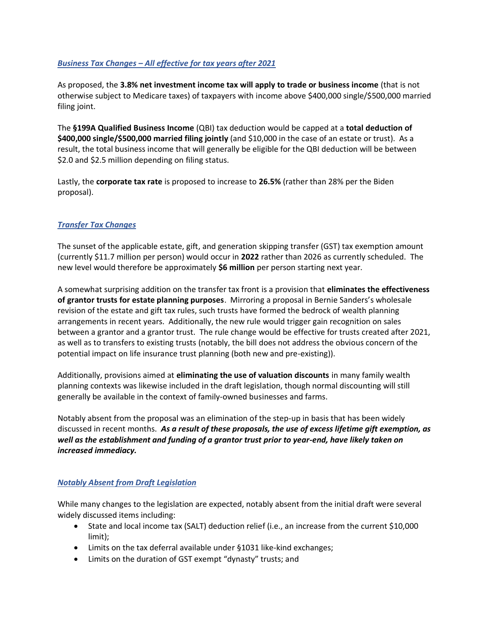### *Business Tax Changes – All effective for tax years after 2021*

As proposed, the **3.8% net investment income tax will apply to trade or business income** (that is not otherwise subject to Medicare taxes) of taxpayers with income above \$400,000 single/\$500,000 married filing joint.

The **§199A Qualified Business Income** (QBI) tax deduction would be capped at a **total deduction of \$400,000 single/\$500,000 married filing jointly** (and \$10,000 in the case of an estate or trust). As a result, the total business income that will generally be eligible for the QBI deduction will be between \$2.0 and \$2.5 million depending on filing status.

Lastly, the **corporate tax rate** is proposed to increase to **26.5%** (rather than 28% per the Biden proposal).

### *Transfer Tax Changes*

The sunset of the applicable estate, gift, and generation skipping transfer (GST) tax exemption amount (currently \$11.7 million per person) would occur in **2022** rather than 2026 as currently scheduled. The new level would therefore be approximately **\$6 million** per person starting next year.

A somewhat surprising addition on the transfer tax front is a provision that **eliminates the effectiveness of grantor trusts for estate planning purposes**. Mirroring a proposal in Bernie Sanders's wholesale revision of the estate and gift tax rules, such trusts have formed the bedrock of wealth planning arrangements in recent years. Additionally, the new rule would trigger gain recognition on sales between a grantor and a grantor trust. The rule change would be effective for trusts created after 2021, as well as to transfers to existing trusts (notably, the bill does not address the obvious concern of the potential impact on life insurance trust planning (both new and pre-existing)).

Additionally, provisions aimed at **eliminating the use of valuation discounts** in many family wealth planning contexts was likewise included in the draft legislation, though normal discounting will still generally be available in the context of family-owned businesses and farms.

Notably absent from the proposal was an elimination of the step-up in basis that has been widely discussed in recent months. *As a result of these proposals, the use of excess lifetime gift exemption, as well as the establishment and funding of a grantor trust prior to year-end, have likely taken on increased immediacy.*

#### *Notably Absent from Draft Legislation*

While many changes to the legislation are expected, notably absent from the initial draft were several widely discussed items including:

- State and local income tax (SALT) deduction relief (i.e., an increase from the current \$10,000 limit);
- Limits on the tax deferral available under §1031 like-kind exchanges;
- Limits on the duration of GST exempt "dynasty" trusts; and